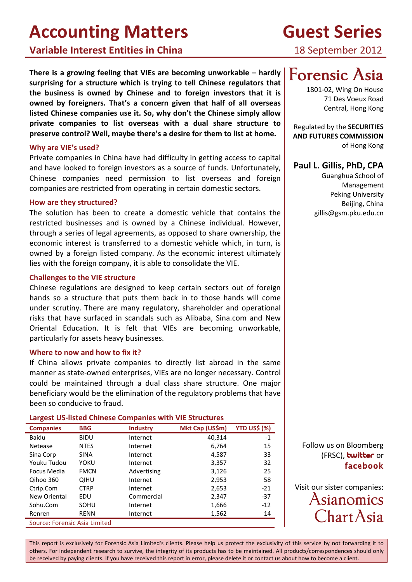**Variable Interest Entities in China**

**There is a growing feeling that VIEs are becoming unworkable – hardly surprising for a structure which is trying to tell Chinese regulators that the business is owned by Chinese and to foreign investors that it is owned by foreigners. That's a concern given that half of all overseas listed Chinese companies use it. So, why don't the Chinese simply allow private companies to list overseas with a dual share structure to preserve control? Well, maybe there's a desire for them to list at home.**

#### **Why are VIE's used?**

Private companies in China have had difficulty in getting access to capital and have looked to foreign investors as a source of funds. Unfortunately, Chinese companies need permission to list overseas and foreign companies are restricted from operating in certain domestic sectors.

#### **How are they structured?**

The solution has been to create a domestic vehicle that contains the restricted businesses and is owned by a Chinese individual. However, through a series of legal agreements, as opposed to share ownership, the economic interest is transferred to a domestic vehicle which, in turn, is owned by a foreign listed company. As the economic interest ultimately lies with the foreign company, it is able to consolidate the VIE.

#### **Challenges to the VIE structure**

Chinese regulations are designed to keep certain sectors out of foreign hands so a structure that puts them back in to those hands will come under scrutiny. There are many regulatory, shareholder and operational risks that have surfaced in scandals such as Alibaba, Sina.com and New Oriental Education. It is felt that VIEs are becoming unworkable, particularly for assets heavy businesses.

#### **Where to now and how to fix it?**

If China allows private companies to directly list abroad in the same manner as state-owned enterprises, VIEs are no longer necessary. Control could be maintained through a dual class share structure. One major beneficiary would be the elimination of the regulatory problems that have been so conducive to fraud.

#### **Largest US-listed Chinese Companies with VIE Structures**

| <b>Companies</b>              | <b>BBG</b>  | <b>Industry</b> | Mkt Cap (US\$m) | <b>YTD US\$ (%)</b> |
|-------------------------------|-------------|-----------------|-----------------|---------------------|
| Baidu                         | <b>BIDU</b> | Internet        | 40,314          | $-1$                |
| Netease                       | <b>NTES</b> | Internet        | 6,764           | 15                  |
| Sina Corp                     | <b>SINA</b> | Internet        | 4,587           | 33                  |
| Youku Tudou                   | YOKU        | Internet        | 3,357           | 32                  |
| Focus Media                   | <b>FMCN</b> | Advertising     | 3,126           | 25                  |
| Qihoo 360                     | <b>QIHU</b> | Internet        | 2,953           | 58                  |
| Ctrip.Com                     | <b>CTRP</b> | Internet        | 2,653           | $-21$               |
| New Oriental                  | EDU         | Commercial      | 2,347           | $-37$               |
| Sohu.Com                      | SOHU        | Internet        | 1,666           | $-12$               |
| Renren                        | <b>RENN</b> | Internet        | 1,562           | 14                  |
| Source: Forensic Asia Limited |             |                 |                 |                     |

This report is exclusively for Forensic Asia Limited's clients. Please help us protect the exclusivity of this service by not forwarding it to others. For independent research to survive, the integrity of its products has to be maintained. All products/correspondences should only be received by paying clients. If you have received this report in error, please delete it or contact us about how to become a client.

# **Guest Series**

18 September 2012

# **[Forensic](http://www.forensicasia.com/) Asia**

1801-02, Wing On House 71 Des Voeux Road Central, Hong Kong

Regulated by the **[SECURITIES](http://www.sfc.hk/)  [AND FUTURES COMMISSION](http://www.sfc.hk/)** of Hong Kong

## **[Paul](mailto:gillem@forensicasia.com) L. Gillis, PhD, CPA**

Guanghua School of Management Peking University Beijing, China gillis@gsm.pku.edu.cn

Follow us on Bloomberg (FRSC), **[twitt](https://twitter.com/#!/forensicasialtd)er** or **[facebook](http://www.facebook.com/ForensicAsiaLtd)**

Visit our sister companies: [Asianomics](http://www.asianom.com/) [ChartAsia](http://www.chartasia.com/)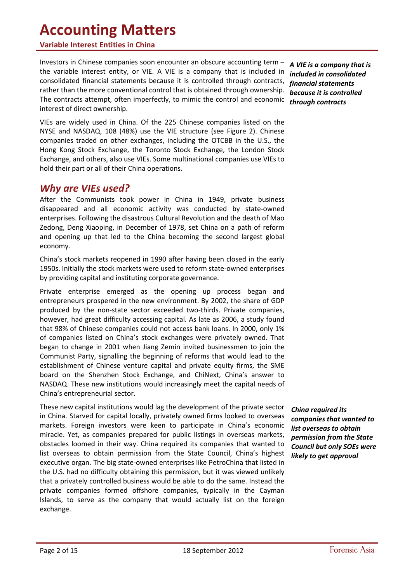#### **Variable Interest Entities in China**

Investors in Chinese companies soon encounter an obscure accounting term – the variable interest entity, or VIE. A VIE is a company that is included in consolidated financial statements because it is controlled through contracts, rather than the more conventional control that is obtained through ownership. The contracts attempt, often imperfectly, to mimic the control and economic interest of direct ownership.

VIEs are widely used in China. Of the 225 Chinese companies listed on the NYSE and NASDAQ, 108 (48%) use the VIE structure (see [Figure 2\)](#page-11-0). Chinese companies traded on other exchanges, including the OTCBB in the U.S., the Hong Kong Stock Exchange, the Toronto Stock Exchange, the London Stock Exchange, and others, also use VIEs. Some multinational companies use VIEs to hold their part or all of their China operations.

### *Why are VIEs used?*

After the Communists took power in China in 1949, private business disappeared and all economic activity was conducted by state-owned enterprises. Following the disastrous Cultural Revolution and the death of Mao Zedong, Deng Xiaoping, in December of 1978, set China on a path of reform and opening up that led to the China becoming the second largest global economy.

China's stock markets reopened in 1990 after having been closed in the early 1950s. Initially the stock markets were used to reform state-owned enterprises by providing capital and instituting corporate governance.

Private enterprise emerged as the opening up process began and entrepreneurs prospered in the new environment. By 2002, the share of GDP produced by the non-state sector exceeded two-thirds. Private companies, however, had great difficulty accessing capital. As late as 2006, a study found that 98% of Chinese companies could not access bank loans. In 2000, only 1% of companies listed on China's stock exchanges were privately owned. That began to change in 2001 when Jiang Zemin invited businessmen to join the Communist Party, signalling the beginning of reforms that would lead to the establishment of Chinese venture capital and private equity firms, the SME board on the Shenzhen Stock Exchange, and ChiNext, China's answer to NASDAQ. These new institutions would increasingly meet the capital needs of China's entrepreneurial sector.

These new capital institutions would lag the development of the private sector in China. Starved for capital locally, privately owned firms looked to overseas markets. Foreign investors were keen to participate in China's economic miracle. Yet, as companies prepared for public listings in overseas markets, obstacles loomed in their way. China required its companies that wanted to list overseas to obtain permission from the State Council, China's highest executive organ. The big state-owned enterprises like PetroChina that listed in the U.S. had no difficulty obtaining this permission, but it was viewed unlikely that a privately controlled business would be able to do the same. Instead the private companies formed offshore companies, typically in the Cayman Islands, to serve as the company that would actually list on the foreign exchange.

*A VIE is a company that is included in consolidated financial statements because it is controlled through contracts*

*China required its companies that wanted to list overseas to obtain permission from the State Council but only SOEs were likely to get approval*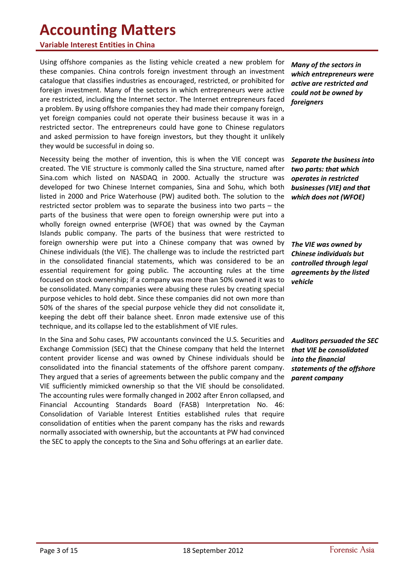#### **Variable Interest Entities in China**

Using offshore companies as the listing vehicle created a new problem for these companies. China controls foreign investment through an investment catalogue that classifies industries as encouraged, restricted, or prohibited for foreign investment. Many of the sectors in which entrepreneurs were active are restricted, including the Internet sector. The Internet entrepreneurs faced a problem. By using offshore companies they had made their company foreign, yet foreign companies could not operate their business because it was in a restricted sector. The entrepreneurs could have gone to Chinese regulators and asked permission to have foreign investors, but they thought it unlikely they would be successful in doing so.

Necessity being the mother of invention, this is when the VIE concept was created. The VIE structure is commonly called the Sina structure, named after Sina.com which listed on NASDAQ in 2000. Actually the structure was developed for two Chinese Internet companies, Sina and Sohu, which both listed in 2000 and Price Waterhouse (PW) audited both. The solution to the restricted sector problem was to separate the business into two parts – the parts of the business that were open to foreign ownership were put into a wholly foreign owned enterprise (WFOE) that was owned by the Cayman Islands public company. The parts of the business that were restricted to foreign ownership were put into a Chinese company that was owned by Chinese individuals (the VIE). The challenge was to include the restricted part in the consolidated financial statements, which was considered to be an essential requirement for going public. The accounting rules at the time focused on stock ownership; if a company was more than 50% owned it was to be consolidated. Many companies were abusing these rules by creating special purpose vehicles to hold debt. Since these companies did not own more than 50% of the shares of the special purpose vehicle they did not consolidate it, keeping the debt off their balance sheet. Enron made extensive use of this technique, and its collapse led to the establishment of VIE rules.

In the Sina and Sohu cases, PW accountants convinced the U.S. Securities and Exchange Commission (SEC) that the Chinese company that held the Internet content provider license and was owned by Chinese individuals should be consolidated into the financial statements of the offshore parent company. They argued that a series of agreements between the public company and the VIE sufficiently mimicked ownership so that the VIE should be consolidated. The accounting rules were formally changed in 2002 after Enron collapsed, and Financial Accounting Standards Board (FASB) Interpretation No. 46: Consolidation of Variable Interest Entities established rules that require consolidation of entities when the parent company has the risks and rewards normally associated with ownership, but the accountants at PW had convinced the SEC to apply the concepts to the Sina and Sohu offerings at an earlier date.

*Many of the sectors in which entrepreneurs were active are restricted and could not be owned by foreigners*

*Separate the business into two parts: that which operates in restricted businesses (VIE) and that which does not (WFOE)*

*The VIE was owned by Chinese individuals but controlled through legal agreements by the listed vehicle*

*Auditors persuaded the SEC that VIE be consolidated into the financial statements of the offshore parent company*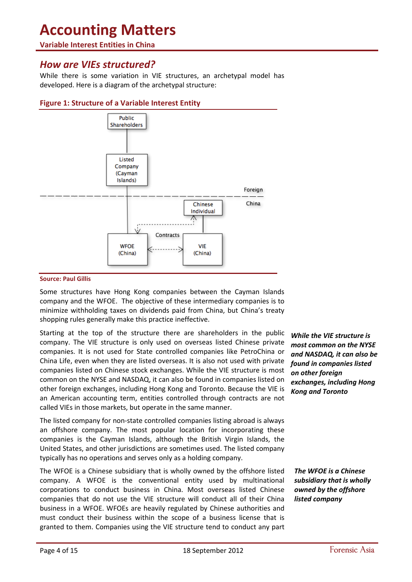#### **Variable Interest Entities in China**

### *How are VIEs structured?*

While there is some variation in VIE structures, an archetypal model has developed. Here is a diagram of the archetypal structure:



#### **Figure 1: Structure of a Variable Interest Entity**

#### **Source: Paul Gillis**

Some structures have Hong Kong companies between the Cayman Islands company and the WFOE. The objective of these intermediary companies is to minimize withholding taxes on dividends paid from China, but China's treaty shopping rules generally make this practice ineffective.

Starting at the top of the structure there are shareholders in the public company. The VIE structure is only used on overseas listed Chinese private companies. It is not used for State controlled companies like PetroChina or China Life, even when they are listed overseas. It is also not used with private companies listed on Chinese stock exchanges. While the VIE structure is most common on the NYSE and NASDAQ, it can also be found in companies listed on other foreign exchanges, including Hong Kong and Toronto. Because the VIE is an American accounting term, entities controlled through contracts are not called VIEs in those markets, but operate in the same manner.

The listed company for non-state controlled companies listing abroad is always an offshore company. The most popular location for incorporating these companies is the Cayman Islands, although the British Virgin Islands, the United States, and other jurisdictions are sometimes used. The listed company typically has no operations and serves only as a holding company.

The WFOE is a Chinese subsidiary that is wholly owned by the offshore listed company. A WFOE is the conventional entity used by multinational corporations to conduct business in China. Most overseas listed Chinese companies that do not use the VIE structure will conduct all of their China business in a WFOE. WFOEs are heavily regulated by Chinese authorities and must conduct their business within the scope of a business license that is granted to them. Companies using the VIE structure tend to conduct any part

*While the VIE structure is most common on the NYSE and NASDAQ, it can also be found in companies listed on other foreign exchanges, including Hong Kong and Toronto*

*The WFOE is a Chinese subsidiary that is wholly owned by the offshore listed company*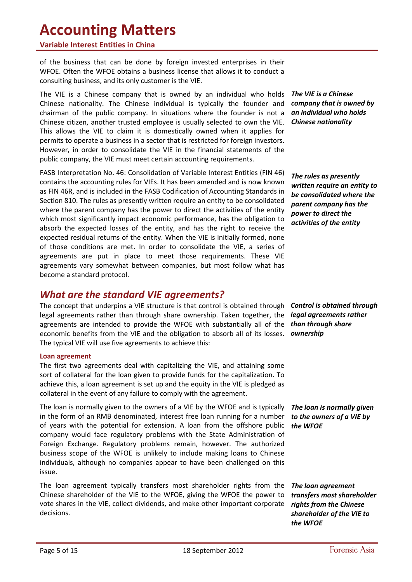#### **Variable Interest Entities in China**

of the business that can be done by foreign invested enterprises in their WFOE. Often the WFOE obtains a business license that allows it to conduct a consulting business, and its only customer is the VIE.

The VIE is a Chinese company that is owned by an individual who holds Chinese nationality. The Chinese individual is typically the founder and chairman of the public company. In situations where the founder is not a Chinese citizen, another trusted employee is usually selected to own the VIE. This allows the VIE to claim it is domestically owned when it applies for permits to operate a business in a sector that is restricted for foreign investors. However, in order to consolidate the VIE in the financial statements of the public company, the VIE must meet certain accounting requirements.

FASB Interpretation No. 46: Consolidation of Variable Interest Entities (FIN 46) contains the accounting rules for VIEs. It has been amended and is now known as FIN 46R, and is included in the FASB Codification of Accounting Standards in Section 810. The rules as presently written require an entity to be consolidated where the parent company has the power to direct the activities of the entity which most significantly impact economic performance, has the obligation to absorb the expected losses of the entity, and has the right to receive the expected residual returns of the entity. When the VIE is initially formed, none of those conditions are met. In order to consolidate the VIE, a series of agreements are put in place to meet those requirements. These VIE agreements vary somewhat between companies, but most follow what has become a standard protocol.

## *What are the standard VIE agreements?*

The concept that underpins a VIE structure is that control is obtained through *Control is obtained through*  legal agreements rather than through share ownership. Taken together, the *legal agreements rather*  agreements are intended to provide the WFOE with substantially all of the *than through share*  economic benefits from the VIE and the obligation to absorb all of its losses. *ownership* The typical VIE will use five agreements to achieve this:

#### **Loan agreement**

The first two agreements deal with capitalizing the VIE, and attaining some sort of collateral for the loan given to provide funds for the capitalization. To achieve this, a loan agreement is set up and the equity in the VIE is pledged as collateral in the event of any failure to comply with the agreement.

The loan is normally given to the owners of a VIE by the WFOE and is typically in the form of an RMB denominated, interest free loan running for a number of years with the potential for extension. A loan from the offshore public company would face regulatory problems with the State Administration of Foreign Exchange. Regulatory problems remain, however. The authorized business scope of the WFOE is unlikely to include making loans to Chinese individuals, although no companies appear to have been challenged on this issue.

The loan agreement typically transfers most shareholder rights from the Chinese shareholder of the VIE to the WFOE, giving the WFOE the power to vote shares in the VIE, collect dividends, and make other important corporate decisions.

*The VIE is a Chinese company that is owned by an individual who holds Chinese nationality*

*The rules as presently written require an entity to be consolidated where the parent company has the power to direct the activities of the entity*

*The loan is normally given to the owners of a VIE by the WFOE* 

*The loan agreement transfers most shareholder rights from the Chinese shareholder of the VIE to the WFOE*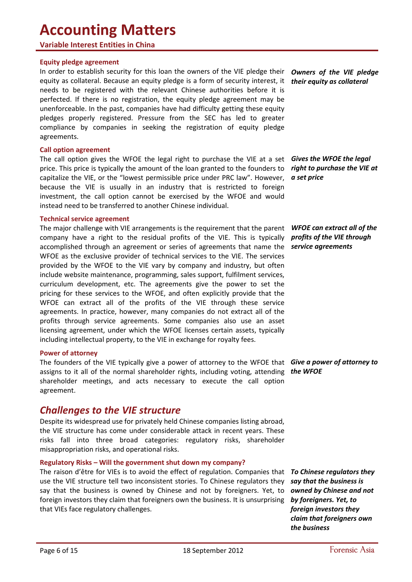#### **Variable Interest Entities in China**

#### **Equity pledge agreement**

In order to establish security for this loan the owners of the VIE pledge their *Owners of the VIE pledge*  equity as collateral. Because an equity pledge is a form of security interest, it *their equity as collateral* needs to be registered with the relevant Chinese authorities before it is perfected. If there is no registration, the equity pledge agreement may be unenforceable. In the past, companies have had difficulty getting these equity pledges properly registered. Pressure from the SEC has led to greater compliance by companies in seeking the registration of equity pledge agreements.

#### **Call option agreement**

The call option gives the WFOE the legal right to purchase the VIE at a set *Gives the WFOE the legal*  price. This price is typically the amount of the loan granted to the founders to capitalize the VIE, or the "lowest permissible price under PRC law". However, because the VIE is usually in an industry that is restricted to foreign investment, the call option cannot be exercised by the WFOE and would instead need to be transferred to another Chinese individual.

#### **Technical service agreement**

The major challenge with VIE arrangements is the requirement that the parent *WFOE can extract all of the*  company have a right to the residual profits of the VIE. This is typically accomplished through an agreement or series of agreements that name the WFOE as the exclusive provider of technical services to the VIE. The services provided by the WFOE to the VIE vary by company and industry, but often include website maintenance, programming, sales support, fulfilment services, curriculum development, etc. The agreements give the power to set the pricing for these services to the WFOE, and often explicitly provide that the WFOE can extract all of the profits of the VIE through these service agreements. In practice, however, many companies do not extract all of the profits through service agreements. Some companies also use an asset licensing agreement, under which the WFOE licenses certain assets, typically including intellectual property, to the VIE in exchange for royalty fees.

#### **Power of attorney**

The founders of the VIE typically give a power of attorney to the WFOE that *Give a power of attorney to*  assigns to it all of the normal shareholder rights, including voting, attending *the WFOE* shareholder meetings, and acts necessary to execute the call option agreement.

## *Challenges to the VIE structure*

Despite its widespread use for privately held Chinese companies listing abroad, the VIE structure has come under considerable attack in recent years. These risks fall into three broad categories: regulatory risks, shareholder misappropriation risks, and operational risks.

#### **Regulatory Risks – Will the government shut down my company?**

The raison d'être for VIEs is to avoid the effect of regulation. Companies that *To Chinese regulators they*  use the VIE structure tell two inconsistent stories. To Chinese regulators they say that the business is owned by Chinese and not by foreigners. Yet, to foreign investors they claim that foreigners own the business. It is unsurprising that VIEs face regulatory challenges.

*right to purchase the VIE at a set price*

*profits of the VIE through service agreements*

*say that the business is owned by Chinese and not by foreigners. Yet, to foreign investors they claim that foreigners own the business*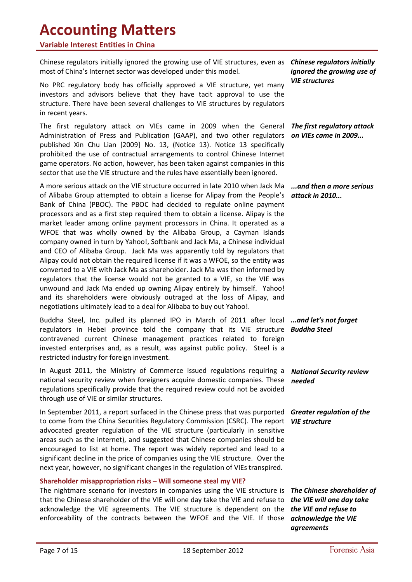#### **Variable Interest Entities in China**

Chinese regulators initially ignored the growing use of VIE structures, even as most of China's Internet sector was developed under this model.

No PRC regulatory body has officially approved a VIE structure, yet many investors and advisors believe that they have tacit approval to use the structure. There have been several challenges to VIE structures by regulators in recent years.

The first regulatory attack on VIEs came in 2009 when the General *The first regulatory attack*  Administration of Press and Publication (GAAP), and two other regulators *on VIEs came in 2009...* published Xin Chu Lian [2009] No. 13, (Notice 13). Notice 13 specifically prohibited the use of contractual arrangements to control Chinese Internet game operators. No action, however, has been taken against companies in this sector that use the VIE structure and the rules have essentially been ignored.

A more serious attack on the VIE structure occurred in late 2010 when Jack Ma *...and then a more serious*  of Alibaba Group attempted to obtain a license for Alipay from the People's *attack in 2010...* Bank of China (PBOC). The PBOC had decided to regulate online payment processors and as a first step required them to obtain a license. Alipay is the market leader among online payment processors in China. It operated as a WFOE that was wholly owned by the Alibaba Group, a Cayman Islands company owned in turn by Yahoo!, Softbank and Jack Ma, a Chinese individual and CEO of Alibaba Group. Jack Ma was apparently told by regulators that Alipay could not obtain the required license if it was a WFOE, so the entity was converted to a VIE with Jack Ma as shareholder. Jack Ma was then informed by regulators that the license would not be granted to a VIE, so the VIE was unwound and Jack Ma ended up owning Alipay entirely by himself. Yahoo! and its shareholders were obviously outraged at the loss of Alipay, and negotiations ultimately lead to a deal for Alibaba to buy out Yahoo!.

Buddha Steel, Inc. pulled its planned IPO in March of 2011 after local *...and let's not forget*  regulators in Hebei province told the company that its VIE structure *Buddha Steel* contravened current Chinese management practices related to foreign invested enterprises and, as a result, was against public policy. Steel is a restricted industry for foreign investment.

In August 2011, the Ministry of Commerce issued regulations requiring a *National Security review*  national security review when foreigners acquire domestic companies. These regulations specifically provide that the required review could not be avoided through use of VIE or similar structures.

In September 2011, a report surfaced in the Chinese press that was purported *Greater regulation of the*  to come from the China Securities Regulatory Commission (CSRC). The report *VIE structure* advocated greater regulation of the VIE structure (particularly in sensitive areas such as the internet), and suggested that Chinese companies should be encouraged to list at home. The report was widely reported and lead to a significant decline in the price of companies using the VIE structure. Over the next year, however, no significant changes in the regulation of VIEs transpired.

#### **Shareholder misappropriation risks – Will someone steal my VIE?**

The nightmare scenario for investors in companies using the VIE structure is *The Chinese shareholder of*  that the Chinese shareholder of the VIE will one day take the VIE and refuse to *the VIE will one day take*  acknowledge the VIE agreements. The VIE structure is dependent on the *the VIE and refuse to*  enforceability of the contracts between the WFOE and the VIE. If those *acknowledge the VIE* 

*Chinese regulators initially ignored the growing use of VIE structures*

*needed*

*agreements*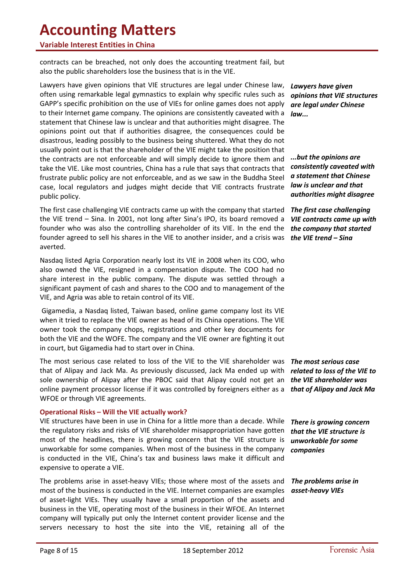#### **Variable Interest Entities in China**

contracts can be breached, not only does the accounting treatment fail, but also the public shareholders lose the business that is in the VIE.

Lawyers have given opinions that VIE structures are legal under Chinese law, often using remarkable legal gymnastics to explain why specific rules such as GAPP's specific prohibition on the use of VIEs for online games does not apply to their Internet game company. The opinions are consistently caveated with a statement that Chinese law is unclear and that authorities might disagree. The opinions point out that if authorities disagree, the consequences could be disastrous, leading possibly to the business being shuttered. What they do not usually point out is that the shareholder of the VIE might take the position that the contracts are not enforceable and will simply decide to ignore them and take the VIE. Like most countries, China has a rule that says that contracts that frustrate public policy are not enforceable, and as we saw in the Buddha Steel case, local regulators and judges might decide that VIE contracts frustrate public policy.

The first case challenging VIE contracts came up with the company that started the VIE trend – Sina. In 2001, not long after Sina's IPO, its board removed a founder who was also the controlling shareholder of its VIE. In the end the founder agreed to sell his shares in the VIE to another insider, and a crisis was averted.

Nasdaq listed Agria Corporation nearly lost its VIE in 2008 when its COO, who also owned the VIE, resigned in a compensation dispute. The COO had no share interest in the public company. The dispute was settled through a significant payment of cash and shares to the COO and to management of the VIE, and Agria was able to retain control of its VIE.

Gigamedia, a Nasdaq listed, Taiwan based, online game company lost its VIE when it tried to replace the VIE owner as head of its China operations. The VIE owner took the company chops, registrations and other key documents for both the VIE and the WOFE. The company and the VIE owner are fighting it out in court, but Gigamedia had to start over in China.

The most serious case related to loss of the VIE to the VIE shareholder was *The most serious case*  that of Alipay and Jack Ma. As previously discussed, Jack Ma ended up with *related to loss of the VIE to*  sole ownership of Alipay after the PBOC said that Alipay could not get an online payment processor license if it was controlled by foreigners either as a WFOE or through VIE agreements.

#### **Operational Risks – Will the VIE actually work?**

VIE structures have been in use in China for a little more than a decade. While the regulatory risks and risks of VIE shareholder misappropriation have gotten most of the headlines, there is growing concern that the VIE structure is unworkable for some companies. When most of the business in the company is conducted in the VIE, China's tax and business laws make it difficult and expensive to operate a VIE.

The problems arise in asset-heavy VIEs; those where most of the assets and most of the business is conducted in the VIE. Internet companies are examples of asset-light VIEs. They usually have a small proportion of the assets and business in the VIE, operating most of the business in their WFOE. An Internet company will typically put only the Internet content provider license and the servers necessary to host the site into the VIE, retaining all of the

*Lawyers have given opinions that VIE structures are legal under Chinese law...*

*...but the opinions are consistently caveated with a statement that Chinese law is unclear and that authorities might disagree*

*The first case challenging VIE contracts came up with the company that started the VIE trend – Sina*

*the VIE shareholder was that of Alipay and Jack Ma*

*There is growing concern that the VIE structure is unworkable for some companies*

*The problems arise in asset-heavy VIEs*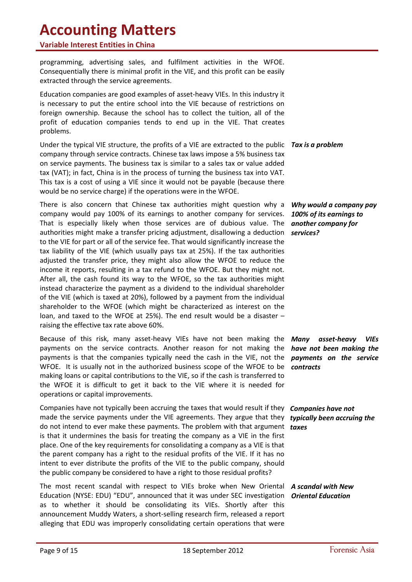#### **Variable Interest Entities in China**

programming, advertising sales, and fulfilment activities in the WFOE. Consequentially there is minimal profit in the VIE, and this profit can be easily extracted through the service agreements.

Education companies are good examples of asset-heavy VIEs. In this industry it is necessary to put the entire school into the VIE because of restrictions on foreign ownership. Because the school has to collect the tuition, all of the profit of education companies tends to end up in the VIE. That creates problems.

Under the typical VIE structure, the profits of a VIE are extracted to the public *Tax is a problem* company through service contracts. Chinese tax laws impose a 5% business tax on service payments. The business tax is similar to a sales tax or value added tax (VAT); in fact, China is in the process of turning the business tax into VAT. This tax is a cost of using a VIE since it would not be payable (because there would be no service charge) if the operations were in the WFOE.

There is also concern that Chinese tax authorities might question why a company would pay 100% of its earnings to another company for services. That is especially likely when those services are of dubious value. The authorities might make a transfer pricing adjustment, disallowing a deduction to the VIE for part or all of the service fee. That would significantly increase the tax liability of the VIE (which usually pays tax at 25%). If the tax authorities adjusted the transfer price, they might also allow the WFOE to reduce the income it reports, resulting in a tax refund to the WFOE. But they might not. After all, the cash found its way to the WFOE, so the tax authorities might instead characterize the payment as a dividend to the individual shareholder of the VIE (which is taxed at 20%), followed by a payment from the individual shareholder to the WFOE (which might be characterized as interest on the loan, and taxed to the WFOE at 25%). The end result would be a disaster – raising the effective tax rate above 60%.

Because of this risk, many asset-heavy VIEs have not been making the payments on the service contracts. Another reason for not making the payments is that the companies typically need the cash in the VIE, not the WFOE. It is usually not in the authorized business scope of the WFOE to be *contracts* making loans or capital contributions to the VIE, so if the cash is transferred to the WFOE it is difficult to get it back to the VIE where it is needed for operations or capital improvements.

Companies have not typically been accruing the taxes that would result if they made the service payments under the VIE agreements. They argue that they do not intend to ever make these payments. The problem with that argument is that it undermines the basis for treating the company as a VIE in the first place. One of the key requirements for consolidating a company as a VIE is that the parent company has a right to the residual profits of the VIE. If it has no intent to ever distribute the profits of the VIE to the public company, should the public company be considered to have a right to those residual profits?

The most recent scandal with respect to VIEs broke when New Oriental *A scandal with New*  Education (NYSE: EDU) "EDU", announced that it was under SEC investigation *Oriental Education*as to whether it should be consolidating its VIEs. Shortly after this announcement Muddy Waters, a short-selling research firm, released a report alleging that EDU was improperly consolidating certain operations that were

*Why would a company pay 100% of its earnings to another company for services?*

*Many asset-heavy VIEs have not been making the payments on the service* 

*Companies have not typically been accruing the taxes*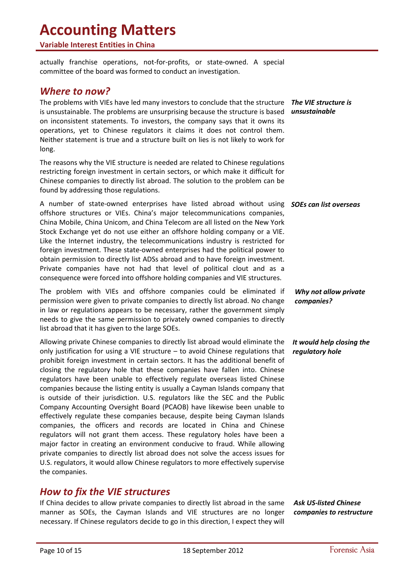#### **Variable Interest Entities in China**

actually franchise operations, not-for-profits, or state-owned. A special committee of the board was formed to conduct an investigation.

### *Where to now?*

The problems with VIEs have led many investors to conclude that the structure *The VIE structure is*  is unsustainable. The problems are unsurprising because the structure is based *unsustainable* on inconsistent statements. To investors, the company says that it owns its operations, yet to Chinese regulators it claims it does not control them. Neither statement is true and a structure built on lies is not likely to work for long.

The reasons why the VIE structure is needed are related to Chinese regulations restricting foreign investment in certain sectors, or which make it difficult for Chinese companies to directly list abroad. The solution to the problem can be found by addressing those regulations.

A number of state-owned enterprises have listed abroad without using *SOEs can list overseas* offshore structures or VIEs. China's major telecommunications companies, China Mobile, China Unicom, and China Telecom are all listed on the New York Stock Exchange yet do not use either an offshore holding company or a VIE. Like the Internet industry, the telecommunications industry is restricted for foreign investment. These state-owned enterprises had the political power to obtain permission to directly list ADSs abroad and to have foreign investment. Private companies have not had that level of political clout and as a consequence were forced into offshore holding companies and VIE structures.

The problem with VIEs and offshore companies could be eliminated if permission were given to private companies to directly list abroad. No change in law or regulations appears to be necessary, rather the government simply needs to give the same permission to privately owned companies to directly list abroad that it has given to the large SOEs.

Allowing private Chinese companies to directly list abroad would eliminate the only justification for using a VIE structure – to avoid Chinese regulations that prohibit foreign investment in certain sectors. It has the additional benefit of closing the regulatory hole that these companies have fallen into. Chinese regulators have been unable to effectively regulate overseas listed Chinese companies because the listing entity is usually a Cayman Islands company that is outside of their jurisdiction. U.S. regulators like the SEC and the Public Company Accounting Oversight Board (PCAOB) have likewise been unable to effectively regulate these companies because, despite being Cayman Islands companies, the officers and records are located in China and Chinese regulators will not grant them access. These regulatory holes have been a major factor in creating an environment conducive to fraud. While allowing private companies to directly list abroad does not solve the access issues for U.S. regulators, it would allow Chinese regulators to more effectively supervise the companies.

## *How to fix the VIE structures*

If China decides to allow private companies to directly list abroad in the same manner as SOEs, the Cayman Islands and VIE structures are no longer necessary. If Chinese regulators decide to go in this direction, I expect they will

*Ask US-listed Chinese companies to restructure*

*Why not allow private companies?*

*It would help closing the regulatory hole*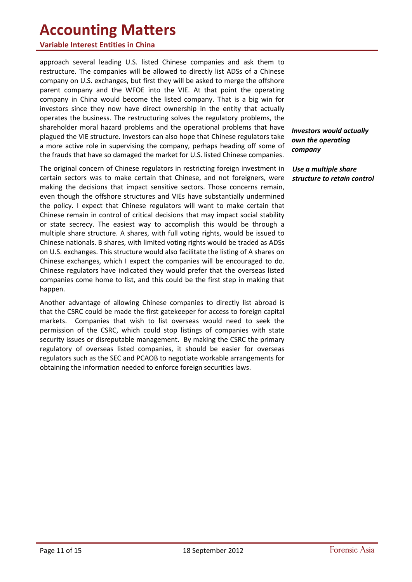#### **Variable Interest Entities in China**

approach several leading U.S. listed Chinese companies and ask them to restructure. The companies will be allowed to directly list ADSs of a Chinese company on U.S. exchanges, but first they will be asked to merge the offshore parent company and the WFOE into the VIE. At that point the operating company in China would become the listed company. That is a big win for investors since they now have direct ownership in the entity that actually operates the business. The restructuring solves the regulatory problems, the shareholder moral hazard problems and the operational problems that have plagued the VIE structure. Investors can also hope that Chinese regulators take a more active role in supervising the company, perhaps heading off some of the frauds that have so damaged the market for U.S. listed Chinese companies.

The original concern of Chinese regulators in restricting foreign investment in certain sectors was to make certain that Chinese, and not foreigners, were making the decisions that impact sensitive sectors. Those concerns remain, even though the offshore structures and VIEs have substantially undermined the policy. I expect that Chinese regulators will want to make certain that Chinese remain in control of critical decisions that may impact social stability or state secrecy. The easiest way to accomplish this would be through a multiple share structure. A shares, with full voting rights, would be issued to Chinese nationals. B shares, with limited voting rights would be traded as ADSs on U.S. exchanges. This structure would also facilitate the listing of A shares on Chinese exchanges, which I expect the companies will be encouraged to do. Chinese regulators have indicated they would prefer that the overseas listed companies come home to list, and this could be the first step in making that happen.

Another advantage of allowing Chinese companies to directly list abroad is that the CSRC could be made the first gatekeeper for access to foreign capital markets. Companies that wish to list overseas would need to seek the permission of the CSRC, which could stop listings of companies with state security issues or disreputable management. By making the CSRC the primary regulatory of overseas listed companies, it should be easier for overseas regulators such as the SEC and PCAOB to negotiate workable arrangements for obtaining the information needed to enforce foreign securities laws.

*Investors would actually own the operating company*

*Use a multiple share structure to retain control*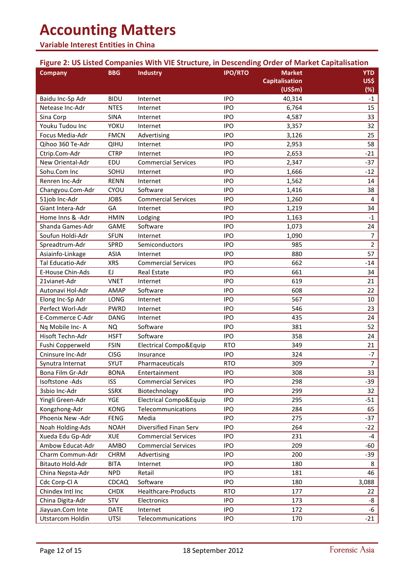#### **Variable Interest Entities in China**

## <span id="page-11-0"></span>**Figure 2: US Listed Companies With VIE Structure, in Descending Order of Market Capitalisation**

| <b>Company</b>          | <b>BBG</b>   | <b>Industry</b>                   | <b>IPO/RTO</b> | <b>Market</b>         | <b>YTD</b>     |
|-------------------------|--------------|-----------------------------------|----------------|-----------------------|----------------|
|                         |              |                                   |                | <b>Capitalisation</b> | US\$           |
|                         |              |                                   |                | (US\$m)               | (%)            |
| Baidu Inc-Sp Adr        | <b>BIDU</b>  | Internet                          | <b>IPO</b>     | 40,314                | $-1$           |
| Netease Inc-Adr         | <b>NTES</b>  | Internet                          | <b>IPO</b>     | 6,764                 | 15             |
| Sina Corp               | <b>SINA</b>  | Internet                          | <b>IPO</b>     | 4,587                 | 33             |
| Youku Tudou Inc         | <b>YOKU</b>  | Internet                          | <b>IPO</b>     | 3,357                 | 32             |
| Focus Media-Adr         | <b>FMCN</b>  | Advertising                       | <b>IPO</b>     | 3,126                 | 25             |
| Qihoo 360 Te-Adr        | QIHU         | Internet                          | <b>IPO</b>     | 2,953                 | 58             |
| Ctrip.Com-Adr           | <b>CTRP</b>  | Internet                          | <b>IPO</b>     | 2,653                 | $-21$          |
| New Oriental-Adr        | EDU          | <b>Commercial Services</b>        | <b>IPO</b>     | 2,347                 | $-37$          |
| Sohu.Com Inc            | SOHU         | Internet                          | <b>IPO</b>     | 1,666                 | $-12$          |
| Renren Inc-Adr          | <b>RENN</b>  | Internet                          | <b>IPO</b>     | 1,562                 | 14             |
| Changyou.Com-Adr        | CYOU         | Software                          | <b>IPO</b>     | 1,416                 | 38             |
| 51job Inc-Adr           | <b>JOBS</b>  | <b>Commercial Services</b>        | <b>IPO</b>     | 1,260                 | 4              |
| Giant Intera-Adr        | GA           | Internet                          | <b>IPO</b>     | 1,219                 | 34             |
| Home Inns & -Adr        | <b>HMIN</b>  | Lodging                           | <b>IPO</b>     | 1,163                 | $-1$           |
| Shanda Games-Adr        | <b>GAME</b>  | Software                          | <b>IPO</b>     | 1,073                 | 24             |
| Soufun Holdi-Adr        | <b>SFUN</b>  | Internet                          | <b>IPO</b>     | 1,090                 | $\overline{7}$ |
| Spreadtrum-Adr          | SPRD         | Semiconductors                    | <b>IPO</b>     | 985                   | $\overline{2}$ |
| Asiainfo-Linkage        | <b>ASIA</b>  | Internet                          | <b>IPO</b>     | 880                   | 57             |
| Tal Educatio-Adr        | <b>XRS</b>   | <b>Commercial Services</b>        | <b>IPO</b>     | 662                   | $-14$          |
| E-House Chin-Ads        | EJ           | <b>Real Estate</b>                | <b>IPO</b>     | 661                   | 34             |
| 21vianet-Adr            | <b>VNET</b>  | Internet                          | <b>IPO</b>     | 619                   | 21             |
| Autonavi Hol-Adr        | AMAP         | Software                          | <b>IPO</b>     | 608                   | 22             |
| Elong Inc-Sp Adr        | LONG         | Internet                          | <b>IPO</b>     | 567                   | 10             |
| Perfect Worl-Adr        | <b>PWRD</b>  | Internet                          | <b>IPO</b>     | 546                   | 23             |
| E-Commerce C-Adr        | <b>DANG</b>  | Internet                          | <b>IPO</b>     | 435                   | 24             |
| Nq Mobile Inc-A         | <b>NQ</b>    | Software                          | <b>IPO</b>     | 381                   | 52             |
| Hisoft Techn-Adr        | <b>HSFT</b>  | Software                          | <b>IPO</b>     | 358                   | 24             |
| Fushi Copperweld        | <b>FSIN</b>  | <b>Electrical Compo&amp;Equip</b> | <b>RTO</b>     | 349                   | 21             |
| Cninsure Inc-Adr        | <b>CISG</b>  | Insurance                         | <b>IPO</b>     | 324                   | $-7$           |
| Synutra Internat        | SYUT         | Pharmaceuticals                   | <b>RTO</b>     | 309                   | $\overline{7}$ |
| Bona Film Gr-Adr        | <b>BONA</b>  | Entertainment                     | <b>IPO</b>     | 308                   | 33             |
| Isoftstone - Ads        | <b>ISS</b>   | <b>Commercial Services</b>        | <b>IPO</b>     | 298                   | $-39$          |
| 3sbio Inc-Adr           | <b>SSRX</b>  | Biotechnology                     | <b>IPO</b>     | 299                   | 32             |
| Yingli Green-Adr        | YGE          | Electrical Compo&Equip            | <b>IPO</b>     | 295                   | $-51$          |
| Kongzhong-Adr           | <b>KONG</b>  | Telecommunications                | <b>IPO</b>     | 284                   | 65             |
| Phoenix New - Adr       | <b>FENG</b>  | Media                             | <b>IPO</b>     | 275                   | $-37$          |
| Noah Holding-Ads        | <b>NOAH</b>  | Diversified Finan Serv            | <b>IPO</b>     | 264                   | $-22$          |
| Xueda Edu Gp-Adr        | <b>XUE</b>   | <b>Commercial Services</b>        | <b>IPO</b>     | 231                   | $-4$           |
| Ambow Educat-Adr        | AMBO         | <b>Commercial Services</b>        | <b>IPO</b>     | 209                   | $-60$          |
| Charm Commun-Adr        | <b>CHRM</b>  | Advertising                       | <b>IPO</b>     | 200                   | $-39$          |
| Bitauto Hold-Adr        | <b>BITA</b>  | Internet                          | <b>IPO</b>     | 180                   | 8              |
| China Nepsta-Adr        | <b>NPD</b>   | Retail                            | <b>IPO</b>     | 181                   | 46             |
| Cdc Corp-Cl A           | <b>CDCAQ</b> | Software                          | <b>IPO</b>     | 180                   | 3,088          |
| Chindex Intl Inc        | <b>CHDX</b>  | Healthcare-Products               | <b>RTO</b>     | 177                   | 22             |
| China Digita-Adr        | STV          | Electronics                       | <b>IPO</b>     | 173                   | -8             |
| Jiayuan.Com Inte        | <b>DATE</b>  | Internet                          | <b>IPO</b>     | 172                   | -6             |
| <b>Utstarcom Holdin</b> |              | Telecommunications                | <b>IPO</b>     | 170                   | $-21$          |
|                         | UTSI         |                                   |                |                       |                |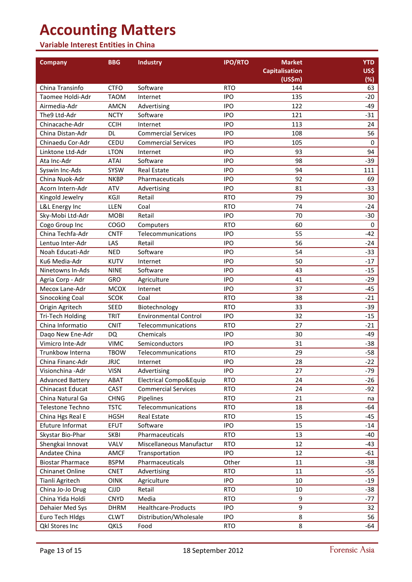### **Variable Interest Entities in China**

| <b>Company</b>          | <b>BBG</b>  | <b>Industry</b>              | <b>IPO/RTO</b> | <b>Market</b>         | <b>YTD</b>  |
|-------------------------|-------------|------------------------------|----------------|-----------------------|-------------|
|                         |             |                              |                | <b>Capitalisation</b> | US\$        |
|                         |             |                              |                | (US\$m)               | (%)         |
| China Transinfo         | <b>CTFO</b> | Software                     | <b>RTO</b>     | 144                   | 63          |
| Taomee Holdi-Adr        | <b>TAOM</b> | Internet                     | <b>IPO</b>     | 135                   | $-20$       |
| Airmedia-Adr            | <b>AMCN</b> | Advertising                  | <b>IPO</b>     | 122                   | -49         |
| The9 Ltd-Adr            | <b>NCTY</b> | Software                     | <b>IPO</b>     | 121                   | $-31$       |
| Chinacache-Adr          | <b>CCIH</b> | Internet                     | <b>IPO</b>     | 113                   | 24          |
| China Distan-Adr        | DL          | <b>Commercial Services</b>   | <b>IPO</b>     | 108                   | 56          |
| Chinaedu Cor-Adr        | CEDU        | <b>Commercial Services</b>   | <b>IPO</b>     | 105                   | 0           |
| Linktone Ltd-Adr        | <b>LTON</b> | Internet                     | <b>IPO</b>     | 93                    | 94          |
| Ata Inc-Adr             | <b>ATAI</b> | Software                     | <b>IPO</b>     | 98                    | -39         |
| Syswin Inc-Ads          | <b>SYSW</b> | <b>Real Estate</b>           | <b>IPO</b>     | 94                    | 111         |
| China Nuok-Adr          | <b>NKBP</b> | Pharmaceuticals              | <b>IPO</b>     | 92                    | 69          |
| Acorn Intern-Adr        | ATV         | Advertising                  | <b>IPO</b>     | 81                    | -33         |
| Kingold Jewelry         | KGJI        | Retail                       | <b>RTO</b>     | 79                    | 30          |
| L&L Energy Inc          | LLEN        | Coal                         | <b>RTO</b>     | 74                    | -24         |
| Sky-Mobi Ltd-Adr        | <b>MOBI</b> | Retail                       | <b>IPO</b>     | 70                    | $-30$       |
| Cogo Group Inc          | <b>COGO</b> | Computers                    | <b>RTO</b>     | 60                    | $\mathbf 0$ |
| China Techfa-Adr        | <b>CNTF</b> | Telecommunications           | <b>IPO</b>     | 55                    | $-42$       |
| Lentuo Inter-Adr        | LAS         | Retail                       | <b>IPO</b>     | 56                    | $-24$       |
| Noah Educati-Adr        | <b>NED</b>  | Software                     | <b>IPO</b>     | 54                    | $-33$       |
| Ku6 Media-Adr           | <b>KUTV</b> | Internet                     | <b>IPO</b>     | 50                    | $-17$       |
| Ninetowns In-Ads        | <b>NINE</b> | Software                     | <b>IPO</b>     | 43                    | $-15$       |
| Agria Corp - Adr        | GRO         | Agriculture                  | <b>IPO</b>     | 41                    | -29         |
| Mecox Lane-Adr          | <b>MCOX</b> | Internet                     | <b>IPO</b>     | 37                    | -45         |
| <b>Sinocoking Coal</b>  | <b>SCOK</b> | Coal                         | <b>RTO</b>     | 38                    | $-21$       |
| Origin Agritech         | SEED        | Biotechnology                | <b>RTO</b>     | 33                    | -39         |
| Tri-Tech Holding        | <b>TRIT</b> | <b>Environmental Control</b> | <b>IPO</b>     | 32                    | $-15$       |
| China Informatio        | <b>CNIT</b> | Telecommunications           | <b>RTO</b>     | 27                    | $-21$       |
| Dago New Ene-Adr        | DQ          | Chemicals                    | <b>IPO</b>     | 30                    | -49         |
| Vimicro Inte-Adr        | <b>VIMC</b> | Semiconductors               | <b>IPO</b>     | 31                    | $-38$       |
| Trunkbow Interna        | <b>TBOW</b> | Telecommunications           | <b>RTO</b>     | 29                    | $-58$       |
| China Financ-Adr        | <b>JRJC</b> | Internet                     | <b>IPO</b>     | 28                    | $-22$       |
| Visionchina - Adr       | <b>VISN</b> | Advertising                  | <b>IPO</b>     | 27                    | -79         |
| <b>Advanced Battery</b> | <b>ABAT</b> | Electrical Compo&Equip       | <b>RTO</b>     | 24                    | -26         |
| Chinacast Educat        | CAST        | <b>Commercial Services</b>   | <b>RTO</b>     | 24                    | -92         |
| China Natural Ga        | <b>CHNG</b> | Pipelines                    | <b>RTO</b>     | 21                    | na          |
| Telestone Techno        | <b>TSTC</b> | Telecommunications           | <b>RTO</b>     | 18                    | -64         |
| China Hgs Real E        | <b>HGSH</b> | Real Estate                  | <b>RTO</b>     | 15                    | -45         |
| Efuture Informat        | <b>EFUT</b> | Software                     | <b>IPO</b>     | 15                    | -14         |
| Skystar Bio-Phar        | <b>SKBI</b> | Pharmaceuticals              | <b>RTO</b>     | 13                    | -40         |
| Shengkai Innovat        | VALV        | Miscellaneous Manufactur     | <b>RTO</b>     | 12                    | $-43$       |
| Andatee China           | <b>AMCF</b> | Transportation               | <b>IPO</b>     | 12                    | $-61$       |
| <b>Biostar Pharmace</b> | <b>BSPM</b> | Pharmaceuticals              | Other          | 11                    | -38         |
| Chinanet Online         | <b>CNET</b> | Advertising                  | <b>RTO</b>     | 11                    | $-55$       |
| Tianli Agritech         | <b>OINK</b> | Agriculture                  | <b>IPO</b>     | 10                    | $-19$       |
| China Jo-Jo Drug        | <b>CJJD</b> | Retail                       | <b>RTO</b>     | 10                    | $-38$       |
| China Yida Holdi        | <b>CNYD</b> | Media                        | <b>RTO</b>     | 9                     | -77         |
| Dehaier Med Sys         | <b>DHRM</b> | Healthcare-Products          | <b>IPO</b>     | 9                     | 32          |
| Euro Tech Hldgs         | <b>CLWT</b> | Distribution/Wholesale       | <b>IPO</b>     | 8                     | 56          |
| Qkl Stores Inc          | QKLS        | Food                         | <b>RTO</b>     | 8                     | -64         |
|                         |             |                              |                |                       |             |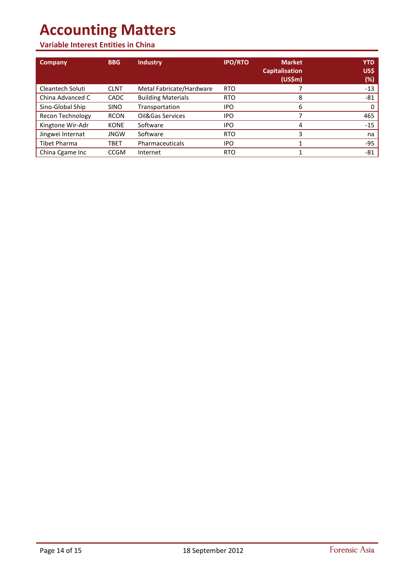## **Variable Interest Entities in China**

| Company                 | <b>BBG</b>  | <b>Industry</b>           | <b>IPO/RTO</b> | <b>Market</b><br><b>Capitalisation</b><br>(US\$m) | <b>YTD</b><br>US\$<br>(%) |
|-------------------------|-------------|---------------------------|----------------|---------------------------------------------------|---------------------------|
| Cleantech Soluti        | <b>CLNT</b> | Metal Fabricate/Hardware  | <b>RTO</b>     |                                                   | $-13$                     |
| China Advanced C        | <b>CADC</b> | <b>Building Materials</b> | <b>RTO</b>     | 8                                                 | -81                       |
| Sino-Global Ship        | <b>SINO</b> | Transportation            | IPO            | 6                                                 |                           |
| <b>Recon Technology</b> | <b>RCON</b> | Oil&Gas Services          | <b>IPO</b>     |                                                   | 465                       |
| Kingtone Wir-Adr        | <b>KONE</b> | Software                  | IPO            | 4                                                 | $-15$                     |
| Jingwei Internat        | <b>JNGW</b> | Software                  | <b>RTO</b>     | 3                                                 | na                        |
| <b>Tibet Pharma</b>     | TBET        | Pharmaceuticals           | <b>IPO</b>     |                                                   | $-95$                     |
| China Cgame Inc         | <b>CCGM</b> | Internet                  | <b>RTO</b>     |                                                   | $-81$                     |